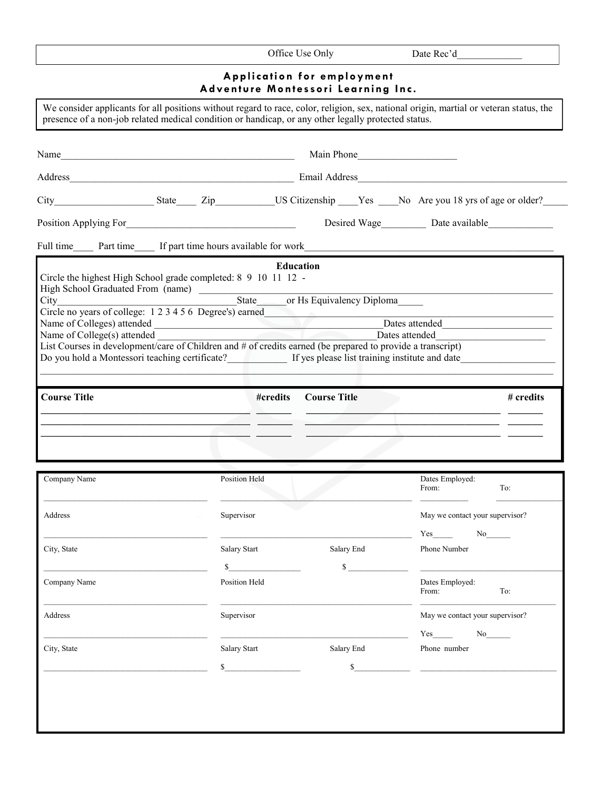| Application for employment<br>Adventure Montessori Learning Inc.<br>We consider applicants for all positions without regard to race, color, religion, sex, national origin, martial or veteran status, the<br>presence of a non-job related medical condition or handicap, or any other legally protected status.<br>Main Phone<br>Desired Wage Date available<br><b>Education</b><br>Circle the highest High School grade completed: 8 9 10 11 12 -<br>Circle no years of college: 1 2 3 4 5 6 Degree's) earned<br>Dates attended Dates and Dates attended<br>Name of Colleges) attended<br>Name of College(s) attended<br>Dates attended<br>List Courses in development/care of Children and # of credits earned (be prepared to provide a transcript)<br>Do you hold a Montessori teaching certificate?<br>If yes please list training institute and date<br><b>Course Title</b><br>#credits<br><b>Course Title</b><br>Company Name<br>Position Held<br>Dates Employed:<br>To:<br>From:<br>Supervisor<br>Address<br>May we contact your supervisor?<br>Yes<br>No<br>City, State<br>Salary Start<br>Salary End<br>Phone Number<br>$\mathbb{S}$<br>$\mathbb{S}$<br>Position Held<br>Company Name<br>Dates Employed:<br>From:<br>To:<br>Supervisor<br>Address<br>May we contact your supervisor?<br>Yes<br>No<br>City, State<br>Salary Start<br>Salary End<br>Phone number<br>$\sim$<br>$\sim$ | Office Use Only | Date Rec'd |
|------------------------------------------------------------------------------------------------------------------------------------------------------------------------------------------------------------------------------------------------------------------------------------------------------------------------------------------------------------------------------------------------------------------------------------------------------------------------------------------------------------------------------------------------------------------------------------------------------------------------------------------------------------------------------------------------------------------------------------------------------------------------------------------------------------------------------------------------------------------------------------------------------------------------------------------------------------------------------------------------------------------------------------------------------------------------------------------------------------------------------------------------------------------------------------------------------------------------------------------------------------------------------------------------------------------------------------------------------------------------------------------------|-----------------|------------|
|                                                                                                                                                                                                                                                                                                                                                                                                                                                                                                                                                                                                                                                                                                                                                                                                                                                                                                                                                                                                                                                                                                                                                                                                                                                                                                                                                                                                |                 |            |
|                                                                                                                                                                                                                                                                                                                                                                                                                                                                                                                                                                                                                                                                                                                                                                                                                                                                                                                                                                                                                                                                                                                                                                                                                                                                                                                                                                                                |                 |            |
|                                                                                                                                                                                                                                                                                                                                                                                                                                                                                                                                                                                                                                                                                                                                                                                                                                                                                                                                                                                                                                                                                                                                                                                                                                                                                                                                                                                                |                 |            |
|                                                                                                                                                                                                                                                                                                                                                                                                                                                                                                                                                                                                                                                                                                                                                                                                                                                                                                                                                                                                                                                                                                                                                                                                                                                                                                                                                                                                |                 |            |
|                                                                                                                                                                                                                                                                                                                                                                                                                                                                                                                                                                                                                                                                                                                                                                                                                                                                                                                                                                                                                                                                                                                                                                                                                                                                                                                                                                                                |                 |            |
|                                                                                                                                                                                                                                                                                                                                                                                                                                                                                                                                                                                                                                                                                                                                                                                                                                                                                                                                                                                                                                                                                                                                                                                                                                                                                                                                                                                                |                 |            |
|                                                                                                                                                                                                                                                                                                                                                                                                                                                                                                                                                                                                                                                                                                                                                                                                                                                                                                                                                                                                                                                                                                                                                                                                                                                                                                                                                                                                |                 |            |
|                                                                                                                                                                                                                                                                                                                                                                                                                                                                                                                                                                                                                                                                                                                                                                                                                                                                                                                                                                                                                                                                                                                                                                                                                                                                                                                                                                                                |                 |            |
|                                                                                                                                                                                                                                                                                                                                                                                                                                                                                                                                                                                                                                                                                                                                                                                                                                                                                                                                                                                                                                                                                                                                                                                                                                                                                                                                                                                                |                 |            |
|                                                                                                                                                                                                                                                                                                                                                                                                                                                                                                                                                                                                                                                                                                                                                                                                                                                                                                                                                                                                                                                                                                                                                                                                                                                                                                                                                                                                |                 |            |
|                                                                                                                                                                                                                                                                                                                                                                                                                                                                                                                                                                                                                                                                                                                                                                                                                                                                                                                                                                                                                                                                                                                                                                                                                                                                                                                                                                                                |                 |            |
|                                                                                                                                                                                                                                                                                                                                                                                                                                                                                                                                                                                                                                                                                                                                                                                                                                                                                                                                                                                                                                                                                                                                                                                                                                                                                                                                                                                                |                 |            |
|                                                                                                                                                                                                                                                                                                                                                                                                                                                                                                                                                                                                                                                                                                                                                                                                                                                                                                                                                                                                                                                                                                                                                                                                                                                                                                                                                                                                |                 |            |
|                                                                                                                                                                                                                                                                                                                                                                                                                                                                                                                                                                                                                                                                                                                                                                                                                                                                                                                                                                                                                                                                                                                                                                                                                                                                                                                                                                                                |                 |            |
|                                                                                                                                                                                                                                                                                                                                                                                                                                                                                                                                                                                                                                                                                                                                                                                                                                                                                                                                                                                                                                                                                                                                                                                                                                                                                                                                                                                                |                 |            |
|                                                                                                                                                                                                                                                                                                                                                                                                                                                                                                                                                                                                                                                                                                                                                                                                                                                                                                                                                                                                                                                                                                                                                                                                                                                                                                                                                                                                |                 |            |
|                                                                                                                                                                                                                                                                                                                                                                                                                                                                                                                                                                                                                                                                                                                                                                                                                                                                                                                                                                                                                                                                                                                                                                                                                                                                                                                                                                                                |                 | # credits  |
|                                                                                                                                                                                                                                                                                                                                                                                                                                                                                                                                                                                                                                                                                                                                                                                                                                                                                                                                                                                                                                                                                                                                                                                                                                                                                                                                                                                                |                 |            |
|                                                                                                                                                                                                                                                                                                                                                                                                                                                                                                                                                                                                                                                                                                                                                                                                                                                                                                                                                                                                                                                                                                                                                                                                                                                                                                                                                                                                |                 |            |
|                                                                                                                                                                                                                                                                                                                                                                                                                                                                                                                                                                                                                                                                                                                                                                                                                                                                                                                                                                                                                                                                                                                                                                                                                                                                                                                                                                                                |                 |            |
|                                                                                                                                                                                                                                                                                                                                                                                                                                                                                                                                                                                                                                                                                                                                                                                                                                                                                                                                                                                                                                                                                                                                                                                                                                                                                                                                                                                                |                 |            |
|                                                                                                                                                                                                                                                                                                                                                                                                                                                                                                                                                                                                                                                                                                                                                                                                                                                                                                                                                                                                                                                                                                                                                                                                                                                                                                                                                                                                |                 |            |
|                                                                                                                                                                                                                                                                                                                                                                                                                                                                                                                                                                                                                                                                                                                                                                                                                                                                                                                                                                                                                                                                                                                                                                                                                                                                                                                                                                                                |                 |            |
|                                                                                                                                                                                                                                                                                                                                                                                                                                                                                                                                                                                                                                                                                                                                                                                                                                                                                                                                                                                                                                                                                                                                                                                                                                                                                                                                                                                                |                 |            |
|                                                                                                                                                                                                                                                                                                                                                                                                                                                                                                                                                                                                                                                                                                                                                                                                                                                                                                                                                                                                                                                                                                                                                                                                                                                                                                                                                                                                |                 |            |
|                                                                                                                                                                                                                                                                                                                                                                                                                                                                                                                                                                                                                                                                                                                                                                                                                                                                                                                                                                                                                                                                                                                                                                                                                                                                                                                                                                                                |                 |            |
|                                                                                                                                                                                                                                                                                                                                                                                                                                                                                                                                                                                                                                                                                                                                                                                                                                                                                                                                                                                                                                                                                                                                                                                                                                                                                                                                                                                                |                 |            |
|                                                                                                                                                                                                                                                                                                                                                                                                                                                                                                                                                                                                                                                                                                                                                                                                                                                                                                                                                                                                                                                                                                                                                                                                                                                                                                                                                                                                |                 |            |
|                                                                                                                                                                                                                                                                                                                                                                                                                                                                                                                                                                                                                                                                                                                                                                                                                                                                                                                                                                                                                                                                                                                                                                                                                                                                                                                                                                                                |                 |            |
|                                                                                                                                                                                                                                                                                                                                                                                                                                                                                                                                                                                                                                                                                                                                                                                                                                                                                                                                                                                                                                                                                                                                                                                                                                                                                                                                                                                                |                 |            |
|                                                                                                                                                                                                                                                                                                                                                                                                                                                                                                                                                                                                                                                                                                                                                                                                                                                                                                                                                                                                                                                                                                                                                                                                                                                                                                                                                                                                |                 |            |
|                                                                                                                                                                                                                                                                                                                                                                                                                                                                                                                                                                                                                                                                                                                                                                                                                                                                                                                                                                                                                                                                                                                                                                                                                                                                                                                                                                                                |                 |            |
|                                                                                                                                                                                                                                                                                                                                                                                                                                                                                                                                                                                                                                                                                                                                                                                                                                                                                                                                                                                                                                                                                                                                                                                                                                                                                                                                                                                                |                 |            |
|                                                                                                                                                                                                                                                                                                                                                                                                                                                                                                                                                                                                                                                                                                                                                                                                                                                                                                                                                                                                                                                                                                                                                                                                                                                                                                                                                                                                |                 |            |
|                                                                                                                                                                                                                                                                                                                                                                                                                                                                                                                                                                                                                                                                                                                                                                                                                                                                                                                                                                                                                                                                                                                                                                                                                                                                                                                                                                                                |                 |            |
|                                                                                                                                                                                                                                                                                                                                                                                                                                                                                                                                                                                                                                                                                                                                                                                                                                                                                                                                                                                                                                                                                                                                                                                                                                                                                                                                                                                                |                 |            |
|                                                                                                                                                                                                                                                                                                                                                                                                                                                                                                                                                                                                                                                                                                                                                                                                                                                                                                                                                                                                                                                                                                                                                                                                                                                                                                                                                                                                |                 |            |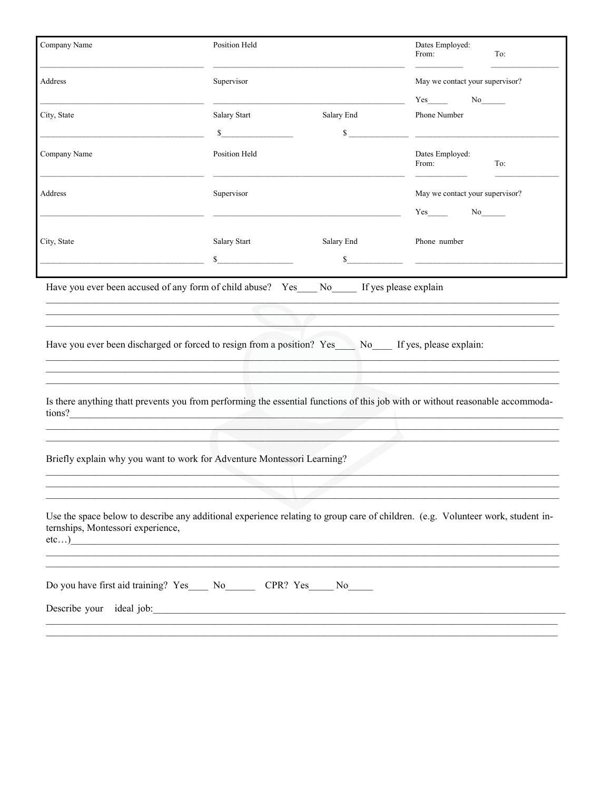| Company Name                      | <b>Position Held</b>                                                                                                                                                                                                                                                                                         |              | Dates Employed:<br>To:<br>From:                                                                                                                                                                                                                                                             |  |
|-----------------------------------|--------------------------------------------------------------------------------------------------------------------------------------------------------------------------------------------------------------------------------------------------------------------------------------------------------------|--------------|---------------------------------------------------------------------------------------------------------------------------------------------------------------------------------------------------------------------------------------------------------------------------------------------|--|
| Address                           | Supervisor                                                                                                                                                                                                                                                                                                   |              | May we contact your supervisor?                                                                                                                                                                                                                                                             |  |
| City, State                       | Salary Start                                                                                                                                                                                                                                                                                                 | Salary End   | $Yes$ No $No$<br>Phone Number                                                                                                                                                                                                                                                               |  |
|                                   | $\mathbf S$                                                                                                                                                                                                                                                                                                  | $\mathbb{S}$ | <u> 1989 - Johann John Stone, markin film fan it ferskearre fan it ferskearre fan it ferskearre fan it ferskearr</u>                                                                                                                                                                        |  |
| Company Name                      | Position Held                                                                                                                                                                                                                                                                                                |              | Dates Employed:<br>From:<br>To:                                                                                                                                                                                                                                                             |  |
| Address                           | Supervisor                                                                                                                                                                                                                                                                                                   |              | May we contact your supervisor?                                                                                                                                                                                                                                                             |  |
|                                   |                                                                                                                                                                                                                                                                                                              |              | $Yes$ and $Yes$ and $Yes$ and $Yes$ and $Yes$ and $Yes$ and $Yes$ and $Yes$ and $Yes$ and $Yes$ and $Yes$ and $Yes$ and $Yes$ and $Yes$ and $Yes$ and $Yes$ and $Yes$ and $Yes$ and $Yes$ and $Yes$ and $Yes$ and $Yes$ and $Yes$ and $Yes$ and $Yes$ and $Yes$ and $Yes$ and $Yes$ a<br>No |  |
| City, State                       | Salary Start                                                                                                                                                                                                                                                                                                 | Salary End   | Phone number                                                                                                                                                                                                                                                                                |  |
|                                   | $\sim$                                                                                                                                                                                                                                                                                                       |              | $\frac{1}{\sqrt{1-\frac{1}{2}}}\frac{1}{\sqrt{1-\frac{1}{2}}\left(\frac{1}{2}-\frac{1}{2}\right)}$                                                                                                                                                                                          |  |
|                                   | Have you ever been accused of any form of child abuse? Yes No If yes please explain<br>and the control of the control of the control of the control of the control of the control of the control of the<br>Have you ever been discharged or forced to resign from a position? Yes No If yes, please explain: |              |                                                                                                                                                                                                                                                                                             |  |
|                                   |                                                                                                                                                                                                                                                                                                              |              | Is there anything thatt prevents you from performing the essential functions of this job with or without reasonable accommoda-<br>tions?                                                                                                                                                    |  |
|                                   | Briefly explain why you want to work for Adventure Montessori Learning?                                                                                                                                                                                                                                      |              |                                                                                                                                                                                                                                                                                             |  |
| ternships, Montessori experience, |                                                                                                                                                                                                                                                                                                              |              | Use the space below to describe any additional experience relating to group care of children. (e.g. Volunteer work, student in-<br>etc)                                                                                                                                                     |  |
|                                   | Do you have first aid training? Yes______ No__________ CPR? Yes______ No______                                                                                                                                                                                                                               |              |                                                                                                                                                                                                                                                                                             |  |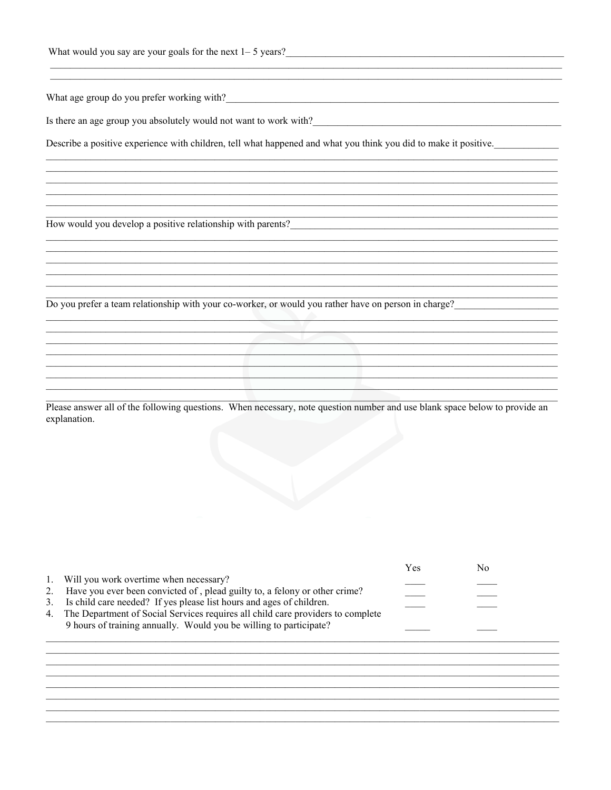Is there an age group you absolutely would not want to work with?

Describe a positive experience with children, tell what happened and what you think you did to make it positive.

How would you develop a positive relationship with parents?

Do you prefer a team relationship with your co-worker, or would you rather have on person in charge?

Please answer all of the following questions. When necessary, note question number and use blank space below to provide an explanation.

|    |                                                                                    | Y es | Nο |
|----|------------------------------------------------------------------------------------|------|----|
|    | 1. Will you work overtime when necessary?                                          |      |    |
| 2. | Have you ever been convicted of, plead guilty to, a felony or other crime?         |      |    |
|    | 3. Is child care needed? If yes please list hours and ages of children.            |      |    |
|    | 4. The Department of Social Services requires all child care providers to complete |      |    |
|    | 9 hours of training annually. Would you be willing to participate?                 |      |    |
|    |                                                                                    |      |    |